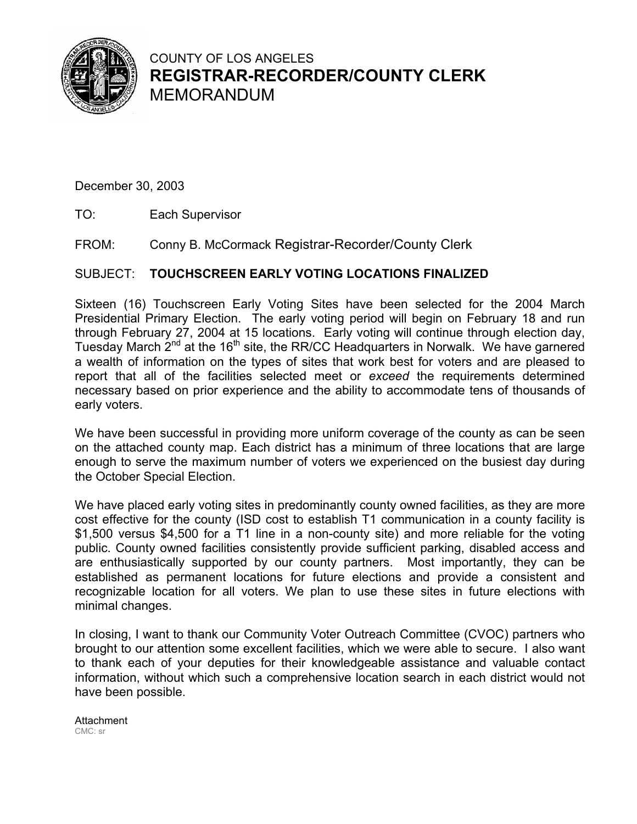

# COUNTY OF LOS ANGELES **REGISTRAR-RECORDER/COUNTY CLERK** MEMORANDUM

December 30, 2003

- TO:Each Supervisor
- FROM: Conny B. McCormack Registrar-Recorder/County Clerk

# SUBJECT: **TOUCHSCREEN EARLY VOTING LOCATIONS FINALIZED**

Sixteen (16) Touchscreen Early Voting Sites have been selected for the 2004 March Presidential Primary Election. The early voting period will begin on February 18 and run through February 27, 2004 at 15 locations. Early voting will continue through election day, Tuesday March 2<sup>nd</sup> at the 16<sup>th</sup> site, the RR/CC Headquarters in Norwalk. We have garnered a wealth of information on the types of sites that work best for voters and are pleased to report that all of the facilities selected meet or *exceed* the requirements determined necessary based on prior experience and the ability to accommodate tens of thousands of early voters.

We have been successful in providing more uniform coverage of the county as can be seen on the attached county map. Each district has a minimum of three locations that are large enough to serve the maximum number of voters we experienced on the busiest day during the October Special Election.

We have placed early voting sites in predominantly county owned facilities, as they are more cost effective for the county (ISD cost to establish T1 communication in a county facility is \$1,500 versus \$4,500 for a T1 line in a non-county site) and more reliable for the voting public. County owned facilities consistently provide sufficient parking, disabled access and are enthusiastically supported by our county partners. Most importantly, they can be established as permanent locations for future elections and provide a consistent and recognizable location for all voters. We plan to use these sites in future elections with minimal changes.

In closing, I want to thank our Community Voter Outreach Committee (CVOC) partners who brought to our attention some excellent facilities, which we were able to secure. I also want to thank each of your deputies for their knowledgeable assistance and valuable contact information, without which such a comprehensive location search in each district would not have been possible.

**Attachment** CMC: sr